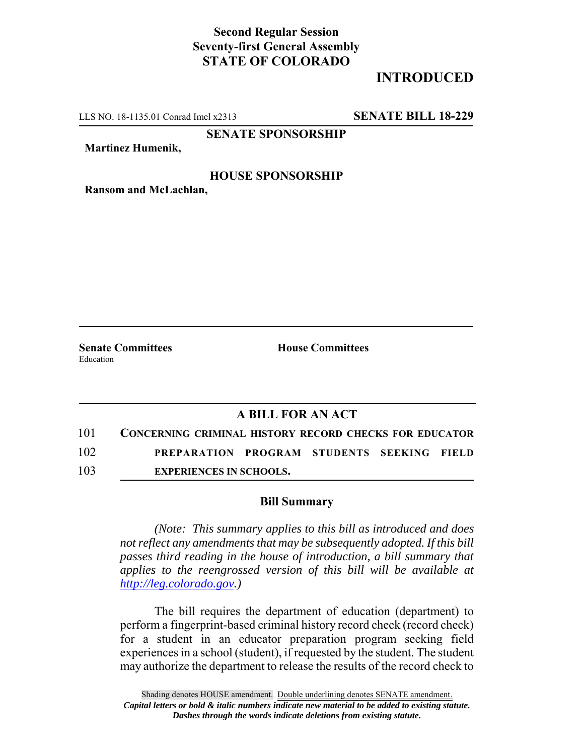## **Second Regular Session Seventy-first General Assembly STATE OF COLORADO**

# **INTRODUCED**

LLS NO. 18-1135.01 Conrad Imel x2313 **SENATE BILL 18-229**

**SENATE SPONSORSHIP**

**Martinez Humenik,**

#### **HOUSE SPONSORSHIP**

**Ransom and McLachlan,**

Education

**Senate Committees House Committees** 

### **A BILL FOR AN ACT**

- 101 **CONCERNING CRIMINAL HISTORY RECORD CHECKS FOR EDUCATOR** 102 **PREPARATION PROGRAM STUDENTS SEEKING FIELD**
- 103 **EXPERIENCES IN SCHOOLS.**

#### **Bill Summary**

*(Note: This summary applies to this bill as introduced and does not reflect any amendments that may be subsequently adopted. If this bill passes third reading in the house of introduction, a bill summary that applies to the reengrossed version of this bill will be available at http://leg.colorado.gov.)*

The bill requires the department of education (department) to perform a fingerprint-based criminal history record check (record check) for a student in an educator preparation program seeking field experiences in a school (student), if requested by the student. The student may authorize the department to release the results of the record check to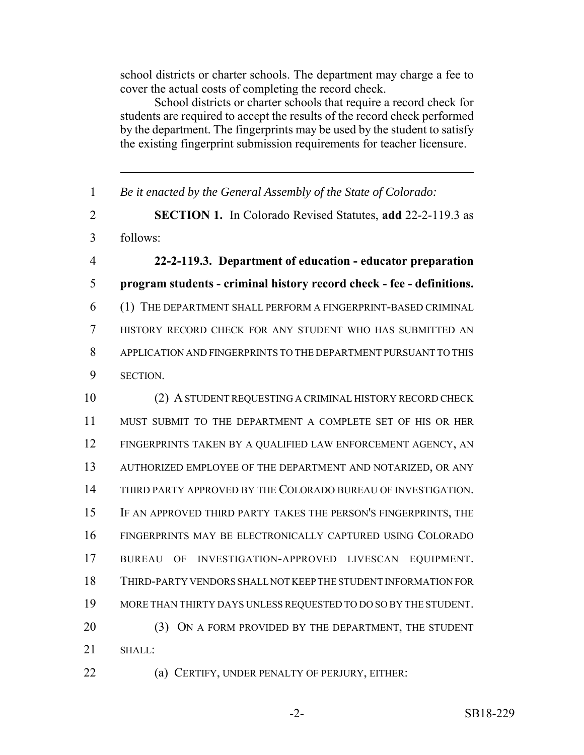school districts or charter schools. The department may charge a fee to cover the actual costs of completing the record check.

School districts or charter schools that require a record check for students are required to accept the results of the record check performed by the department. The fingerprints may be used by the student to satisfy the existing fingerprint submission requirements for teacher licensure.

 *Be it enacted by the General Assembly of the State of Colorado:* **SECTION 1.** In Colorado Revised Statutes, **add** 22-2-119.3 as follows: **22-2-119.3. Department of education - educator preparation program students - criminal history record check - fee - definitions.** (1) THE DEPARTMENT SHALL PERFORM A FINGERPRINT-BASED CRIMINAL HISTORY RECORD CHECK FOR ANY STUDENT WHO HAS SUBMITTED AN APPLICATION AND FINGERPRINTS TO THE DEPARTMENT PURSUANT TO THIS SECTION. (2) A STUDENT REQUESTING A CRIMINAL HISTORY RECORD CHECK MUST SUBMIT TO THE DEPARTMENT A COMPLETE SET OF HIS OR HER FINGERPRINTS TAKEN BY A QUALIFIED LAW ENFORCEMENT AGENCY, AN AUTHORIZED EMPLOYEE OF THE DEPARTMENT AND NOTARIZED, OR ANY THIRD PARTY APPROVED BY THE COLORADO BUREAU OF INVESTIGATION. IF AN APPROVED THIRD PARTY TAKES THE PERSON'S FINGERPRINTS, THE FINGERPRINTS MAY BE ELECTRONICALLY CAPTURED USING COLORADO BUREAU OF INVESTIGATION-APPROVED LIVESCAN EQUIPMENT. THIRD-PARTY VENDORS SHALL NOT KEEP THE STUDENT INFORMATION FOR MORE THAN THIRTY DAYS UNLESS REQUESTED TO DO SO BY THE STUDENT. 20 (3) ON A FORM PROVIDED BY THE DEPARTMENT, THE STUDENT SHALL: **(a) CERTIFY, UNDER PENALTY OF PERJURY, EITHER:**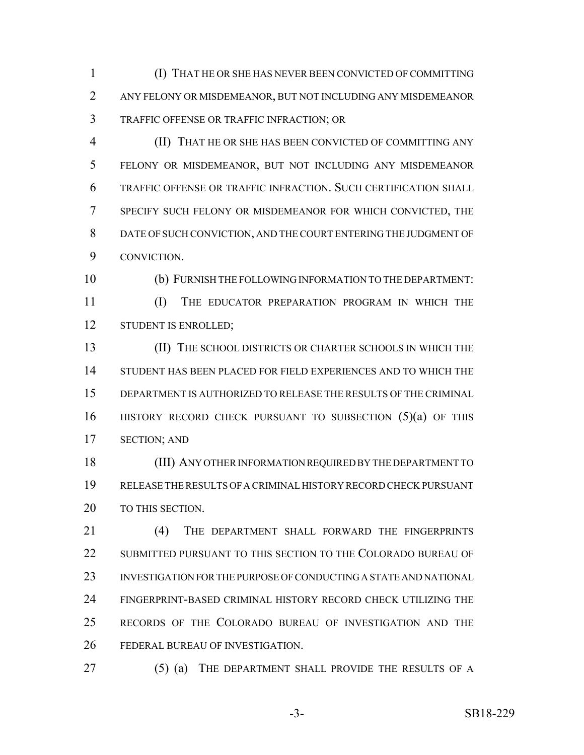(I) THAT HE OR SHE HAS NEVER BEEN CONVICTED OF COMMITTING ANY FELONY OR MISDEMEANOR, BUT NOT INCLUDING ANY MISDEMEANOR TRAFFIC OFFENSE OR TRAFFIC INFRACTION; OR

 (II) THAT HE OR SHE HAS BEEN CONVICTED OF COMMITTING ANY FELONY OR MISDEMEANOR, BUT NOT INCLUDING ANY MISDEMEANOR TRAFFIC OFFENSE OR TRAFFIC INFRACTION. SUCH CERTIFICATION SHALL SPECIFY SUCH FELONY OR MISDEMEANOR FOR WHICH CONVICTED, THE DATE OF SUCH CONVICTION, AND THE COURT ENTERING THE JUDGMENT OF CONVICTION.

 (b) FURNISH THE FOLLOWING INFORMATION TO THE DEPARTMENT: (I) THE EDUCATOR PREPARATION PROGRAM IN WHICH THE 12 STUDENT IS ENROLLED;

 (II) THE SCHOOL DISTRICTS OR CHARTER SCHOOLS IN WHICH THE STUDENT HAS BEEN PLACED FOR FIELD EXPERIENCES AND TO WHICH THE DEPARTMENT IS AUTHORIZED TO RELEASE THE RESULTS OF THE CRIMINAL HISTORY RECORD CHECK PURSUANT TO SUBSECTION (5)(a) OF THIS SECTION; AND

 (III) ANY OTHER INFORMATION REQUIRED BY THE DEPARTMENT TO RELEASE THE RESULTS OF A CRIMINAL HISTORY RECORD CHECK PURSUANT 20 TO THIS SECTION.

21 (4) THE DEPARTMENT SHALL FORWARD THE FINGERPRINTS SUBMITTED PURSUANT TO THIS SECTION TO THE COLORADO BUREAU OF INVESTIGATION FOR THE PURPOSE OF CONDUCTING A STATE AND NATIONAL FINGERPRINT-BASED CRIMINAL HISTORY RECORD CHECK UTILIZING THE RECORDS OF THE COLORADO BUREAU OF INVESTIGATION AND THE FEDERAL BUREAU OF INVESTIGATION.

27 (5) (a) THE DEPARTMENT SHALL PROVIDE THE RESULTS OF A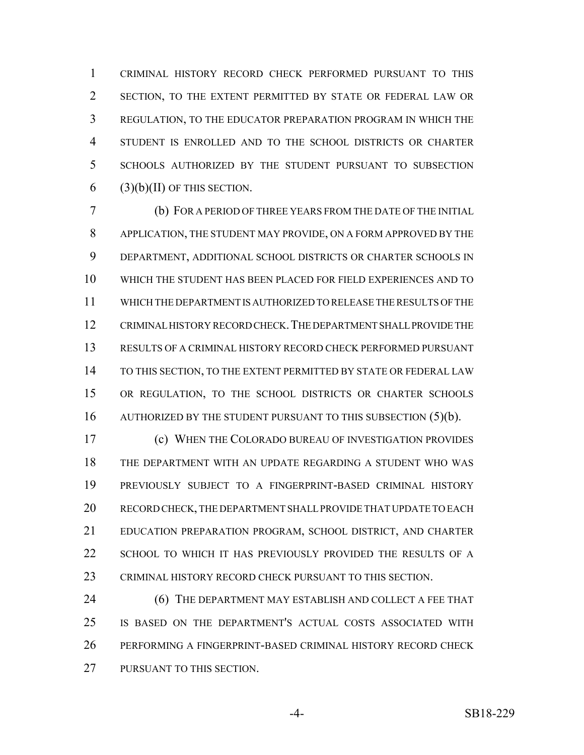CRIMINAL HISTORY RECORD CHECK PERFORMED PURSUANT TO THIS SECTION, TO THE EXTENT PERMITTED BY STATE OR FEDERAL LAW OR REGULATION, TO THE EDUCATOR PREPARATION PROGRAM IN WHICH THE STUDENT IS ENROLLED AND TO THE SCHOOL DISTRICTS OR CHARTER SCHOOLS AUTHORIZED BY THE STUDENT PURSUANT TO SUBSECTION 6 (3)(b)(II) OF THIS SECTION.

 (b) FOR A PERIOD OF THREE YEARS FROM THE DATE OF THE INITIAL APPLICATION, THE STUDENT MAY PROVIDE, ON A FORM APPROVED BY THE DEPARTMENT, ADDITIONAL SCHOOL DISTRICTS OR CHARTER SCHOOLS IN WHICH THE STUDENT HAS BEEN PLACED FOR FIELD EXPERIENCES AND TO WHICH THE DEPARTMENT IS AUTHORIZED TO RELEASE THE RESULTS OF THE CRIMINAL HISTORY RECORD CHECK.THE DEPARTMENT SHALL PROVIDE THE RESULTS OF A CRIMINAL HISTORY RECORD CHECK PERFORMED PURSUANT TO THIS SECTION, TO THE EXTENT PERMITTED BY STATE OR FEDERAL LAW OR REGULATION, TO THE SCHOOL DISTRICTS OR CHARTER SCHOOLS 16 AUTHORIZED BY THE STUDENT PURSUANT TO THIS SUBSECTION (5)(b).

 (c) WHEN THE COLORADO BUREAU OF INVESTIGATION PROVIDES THE DEPARTMENT WITH AN UPDATE REGARDING A STUDENT WHO WAS PREVIOUSLY SUBJECT TO A FINGERPRINT-BASED CRIMINAL HISTORY RECORD CHECK, THE DEPARTMENT SHALL PROVIDE THAT UPDATE TO EACH EDUCATION PREPARATION PROGRAM, SCHOOL DISTRICT, AND CHARTER 22 SCHOOL TO WHICH IT HAS PREVIOUSLY PROVIDED THE RESULTS OF A CRIMINAL HISTORY RECORD CHECK PURSUANT TO THIS SECTION.

**(6) THE DEPARTMENT MAY ESTABLISH AND COLLECT A FEE THAT**  IS BASED ON THE DEPARTMENT'S ACTUAL COSTS ASSOCIATED WITH PERFORMING A FINGERPRINT-BASED CRIMINAL HISTORY RECORD CHECK PURSUANT TO THIS SECTION.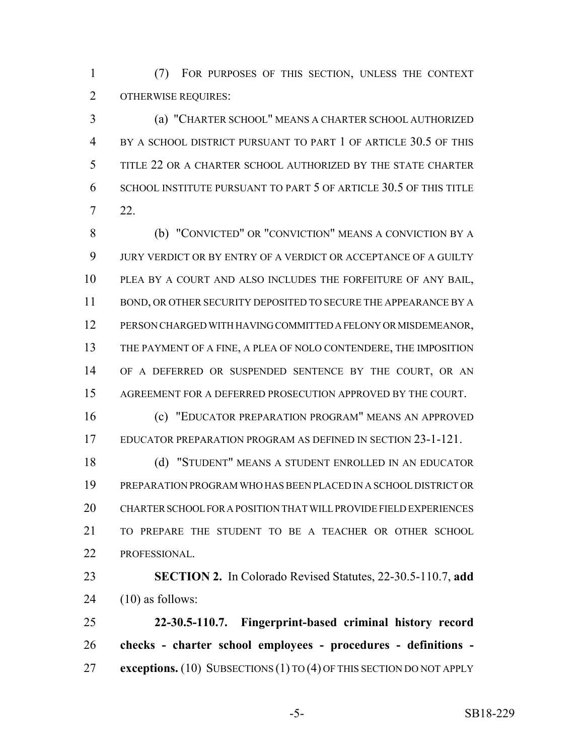(7) FOR PURPOSES OF THIS SECTION, UNLESS THE CONTEXT OTHERWISE REQUIRES:

 (a) "CHARTER SCHOOL" MEANS A CHARTER SCHOOL AUTHORIZED BY A SCHOOL DISTRICT PURSUANT TO PART 1 OF ARTICLE 30.5 OF THIS TITLE 22 OR A CHARTER SCHOOL AUTHORIZED BY THE STATE CHARTER SCHOOL INSTITUTE PURSUANT TO PART 5 OF ARTICLE 30.5 OF THIS TITLE 22.

 (b) "CONVICTED" OR "CONVICTION" MEANS A CONVICTION BY A JURY VERDICT OR BY ENTRY OF A VERDICT OR ACCEPTANCE OF A GUILTY PLEA BY A COURT AND ALSO INCLUDES THE FORFEITURE OF ANY BAIL, BOND, OR OTHER SECURITY DEPOSITED TO SECURE THE APPEARANCE BY A PERSON CHARGED WITH HAVING COMMITTED A FELONY OR MISDEMEANOR, THE PAYMENT OF A FINE, A PLEA OF NOLO CONTENDERE, THE IMPOSITION OF A DEFERRED OR SUSPENDED SENTENCE BY THE COURT, OR AN AGREEMENT FOR A DEFERRED PROSECUTION APPROVED BY THE COURT.

 (c) "EDUCATOR PREPARATION PROGRAM" MEANS AN APPROVED EDUCATOR PREPARATION PROGRAM AS DEFINED IN SECTION 23-1-121.

 (d) "STUDENT" MEANS A STUDENT ENROLLED IN AN EDUCATOR PREPARATION PROGRAM WHO HAS BEEN PLACED IN A SCHOOL DISTRICT OR CHARTER SCHOOL FOR A POSITION THAT WILL PROVIDE FIELD EXPERIENCES TO PREPARE THE STUDENT TO BE A TEACHER OR OTHER SCHOOL PROFESSIONAL.

 **SECTION 2.** In Colorado Revised Statutes, 22-30.5-110.7, **add** (10) as follows:

 **22-30.5-110.7. Fingerprint-based criminal history record checks - charter school employees - procedures - definitions - exceptions.** (10) SUBSECTIONS (1) TO (4) OF THIS SECTION DO NOT APPLY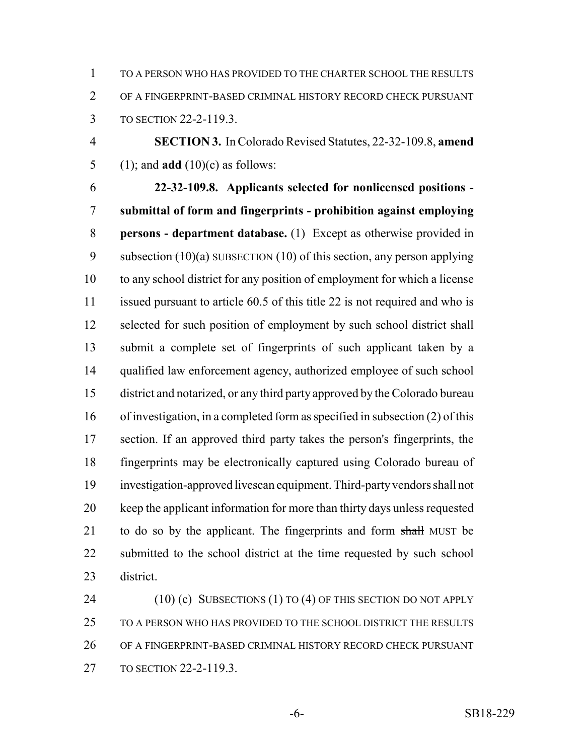TO A PERSON WHO HAS PROVIDED TO THE CHARTER SCHOOL THE RESULTS OF A FINGERPRINT-BASED CRIMINAL HISTORY RECORD CHECK PURSUANT TO SECTION 22-2-119.3.

 **SECTION 3.** In Colorado Revised Statutes, 22-32-109.8, **amend** (1); and **add** (10)(c) as follows:

 **22-32-109.8. Applicants selected for nonlicensed positions - submittal of form and fingerprints - prohibition against employing persons - department database.** (1) Except as otherwise provided in 9 subsection  $(10)(a)$  SUBSECTION (10) of this section, any person applying to any school district for any position of employment for which a license issued pursuant to article 60.5 of this title 22 is not required and who is 12 selected for such position of employment by such school district shall submit a complete set of fingerprints of such applicant taken by a qualified law enforcement agency, authorized employee of such school district and notarized, or any third party approved by the Colorado bureau of investigation, in a completed form as specified in subsection (2) of this section. If an approved third party takes the person's fingerprints, the fingerprints may be electronically captured using Colorado bureau of investigation-approved livescan equipment. Third-party vendors shall not keep the applicant information for more than thirty days unless requested 21 to do so by the applicant. The fingerprints and form shall MUST be submitted to the school district at the time requested by such school district.

24 (10) (c) SUBSECTIONS (1) TO (4) OF THIS SECTION DO NOT APPLY TO A PERSON WHO HAS PROVIDED TO THE SCHOOL DISTRICT THE RESULTS OF A FINGERPRINT-BASED CRIMINAL HISTORY RECORD CHECK PURSUANT TO SECTION 22-2-119.3.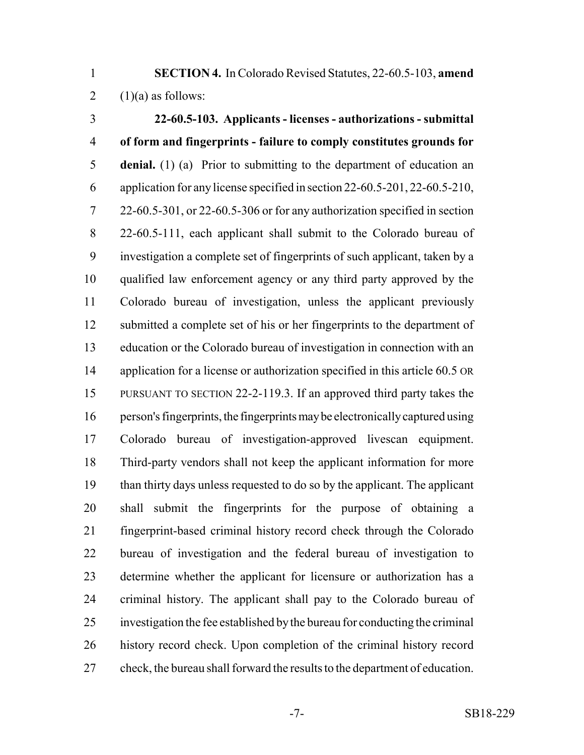**SECTION 4.** In Colorado Revised Statutes, 22-60.5-103, **amend** 2  $(1)(a)$  as follows:

 **22-60.5-103. Applicants - licenses - authorizations - submittal of form and fingerprints - failure to comply constitutes grounds for denial.** (1) (a) Prior to submitting to the department of education an application for any license specified in section 22-60.5-201, 22-60.5-210, 22-60.5-301, or 22-60.5-306 or for any authorization specified in section 22-60.5-111, each applicant shall submit to the Colorado bureau of investigation a complete set of fingerprints of such applicant, taken by a qualified law enforcement agency or any third party approved by the Colorado bureau of investigation, unless the applicant previously submitted a complete set of his or her fingerprints to the department of education or the Colorado bureau of investigation in connection with an 14 application for a license or authorization specified in this article 60.5 OR PURSUANT TO SECTION 22-2-119.3. If an approved third party takes the person's fingerprints, the fingerprints may be electronically captured using Colorado bureau of investigation-approved livescan equipment. Third-party vendors shall not keep the applicant information for more than thirty days unless requested to do so by the applicant. The applicant shall submit the fingerprints for the purpose of obtaining a fingerprint-based criminal history record check through the Colorado bureau of investigation and the federal bureau of investigation to determine whether the applicant for licensure or authorization has a criminal history. The applicant shall pay to the Colorado bureau of investigation the fee established by the bureau for conducting the criminal history record check. Upon completion of the criminal history record check, the bureau shall forward the results to the department of education.